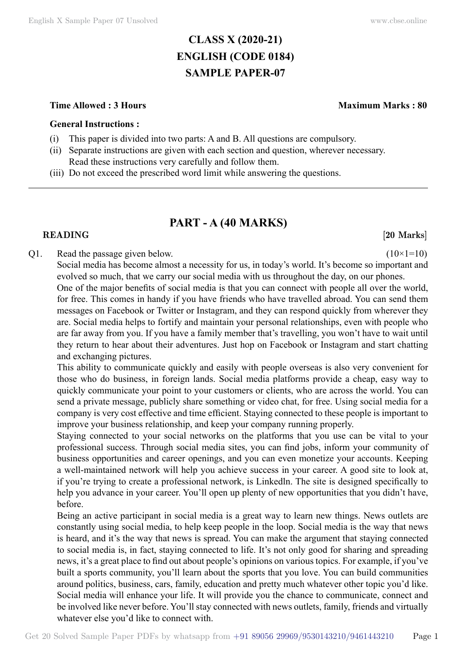# **CLASS X (2020-21) ENGLISH (CODE 0184) SAMPLE PAPER-07**

### **Time Allowed : 3 Hours Maximum Marks : 80**

### **General Instructions :**

- (i) This paper is divided into two parts: A and B. All questions are compulsory.
- (ii) Separate instructions are given with each section and question, wherever necessary. Read these instructions very carefully and follow them.
- (iii) Do not exceed the prescribed word limit while answering the questions.

# **PART - A (40 Marks)**

### **READING [20 Marks]**

### Q1. Read the passage given below.  $(10\times1=10)$

Social media has become almost a necessity for us, in today's world. It's become so important and evolved so much, that we carry our social media with us throughout the day, on our phones. One of the major benefits of social media is that you can connect with people all over the world,

for free. This comes in handy if you have friends who have travelled abroad. You can send them messages on Facebook or Twitter or Instagram, and they can respond quickly from wherever they are. Social media helps to fortify and maintain your personal relationships, even with people who are far away from you. If you have a family member that's travelling, you won't have to wait until they return to hear about their adventures. Just hop on Facebook or Instagram and start chatting and exchanging pictures.

This ability to communicate quickly and easily with people overseas is also very convenient for those who do business, in foreign lands. Social media platforms provide a cheap, easy way to quickly communicate your point to your customers or clients, who are across the world. You can send a private message, publicly share something or video chat, for free. Using social media for a company is very cost effective and time efficient. Staying connected to these people is important to improve your business relationship, and keep your company running properly.

Staying connected to your social networks on the platforms that you use can be vital to your professional success. Through social media sites, you can find jobs, inform your community of business opportunities and career openings, and you can even monetize your accounts. Keeping a well-maintained network will help you achieve success in your career. A good site to look at, if you're trying to create a professional network, is Linkedln. The site is designed specifically to help you advance in your career. You'll open up plenty of new opportunities that you didn't have, before.

Being an active participant in social media is a great way to learn new things. News outlets are constantly using social media, to help keep people in the loop. Social media is the way that news is heard, and it's the way that news is spread. You can make the argument that staying connected to social media is, in fact, staying connected to life. It's not only good for sharing and spreading news, it's a great place to find out about people's opinions on various topics. For example, if you've built a sports community, you'll learn about the sports that you love. You can build communities around politics, business, cars, family, education and pretty much whatever other topic you'd like. Social media will enhance your life. It will provide you the chance to communicate, connect and be involved like never before. You'll stay connected with news outlets, family, friends and virtually whatever else you'd like to connect with.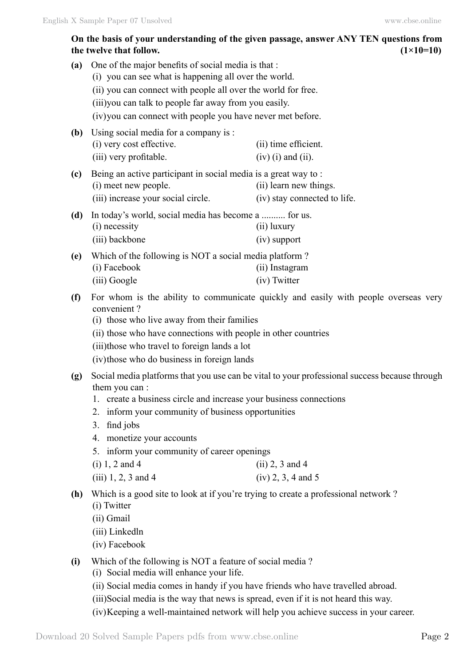## **On the basis of your understanding of the given passage, answer ANY TEN questions from**  the twelve that follow.  $(1 \times 10=10)$

| (a) | One of the major benefits of social media is that:<br>(i) you can see what is happening all over the world.<br>(ii) you can connect with people all over the world for free.<br>(iii) you can talk to people far away from you easily.<br>(iv) you can connect with people you have never met before. |                                                                                                                                            |
|-----|-------------------------------------------------------------------------------------------------------------------------------------------------------------------------------------------------------------------------------------------------------------------------------------------------------|--------------------------------------------------------------------------------------------------------------------------------------------|
| (b) | Using social media for a company is:<br>(i) very cost effective.<br>(iii) very profitable.                                                                                                                                                                                                            | (ii) time efficient.<br>$(iv)$ (i) and (ii).                                                                                               |
| (c) | Being an active participant in social media is a great way to:<br>(i) meet new people.<br>(iii) increase your social circle.                                                                                                                                                                          | (ii) learn new things.<br>(iv) stay connected to life.                                                                                     |
| (d) | In today's world, social media has become a  for us.<br>(i) necessity<br>(iii) backbone                                                                                                                                                                                                               | (ii) luxury<br>(iv) support                                                                                                                |
| (e) | Which of the following is NOT a social media platform?<br>(i) Facebook<br>(iii) Google                                                                                                                                                                                                                | (ii) Instagram<br>(iv) Twitter                                                                                                             |
| (f) | convenient?<br>(i) those who live away from their families<br>(ii) those who have connections with people in other countries<br>(iii) those who travel to foreign lands a lot<br>(iv) those who do business in foreign lands                                                                          | For whom is the ability to communicate quickly and easily with people overseas very                                                        |
| (g) | them you can:<br>1. create a business circle and increase your business connections<br>2. inform your community of business opportunities<br>find jobs<br>3.<br>monetize your accounts<br>4.<br>inform your community of career openings<br>5.<br>$(i) 1, 2$ and 4<br>$(iii) 1, 2, 3$ and 4           | Social media platforms that you use can be vital to your professional success because through<br>$(ii)$ 2, 3 and 4<br>$(iv) 2, 3, 4$ and 5 |
| (h) | Which is a good site to look at if you're trying to create a professional network?<br>(i) Twitter<br>(ii) Gmail<br>(iii) Linkedln<br>(iv) Facebook                                                                                                                                                    |                                                                                                                                            |
| (i) | Which of the following is NOT a feature of social media?<br>(i) Social media will enhance your life.<br>(ii) Social media comes in handy if you have friends who have travelled abroad.<br>(iii)Social media is the way that news is spread, even if it is not heard this way.                        |                                                                                                                                            |

(iv)Keeping a well-maintained network will help you achieve success in your career.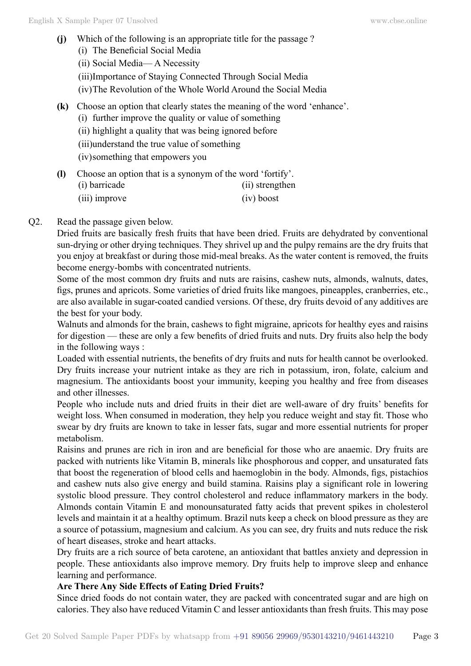- **(j)** Which of the following is an appropriate title for the passage ? (i) The Beneficial Social Media (ii) Social Media— A Necessity (iii)Importance of Staying Connected Through Social Media (iv)The Revolution of the Whole World Around the Social Media **(k)** Choose an option that clearly states the meaning of the word 'enhance'. (i) further improve the quality or value of something (ii) highlight a quality that was being ignored before (iii)understand the true value of something (iv)something that empowers you **(l)** Choose an option that is a synonym of the word 'fortify'.
	- (i) barricade (ii) strengthen (iii) improve (iv) boost

## Q2. Read the passage given below.

Dried fruits are basically fresh fruits that have been dried. Fruits are dehydrated by conventional sun-drying or other drying techniques. They shrivel up and the pulpy remains are the dry fruits that you enjoy at breakfast or during those mid-meal breaks. As the water content is removed, the fruits become energy-bombs with concentrated nutrients.

Some of the most common dry fruits and nuts are raisins, cashew nuts, almonds, walnuts, dates, figs, prunes and apricots. Some varieties of dried fruits like mangoes, pineapples, cranberries, etc., are also available in sugar-coated candied versions. Of these, dry fruits devoid of any additives are the best for your body.

Walnuts and almonds for the brain, cashews to fight migraine, apricots for healthy eyes and raisins for digestion — these are only a few benefits of dried fruits and nuts. Dry fruits also help the body in the following ways :

Loaded with essential nutrients, the benefits of dry fruits and nuts for health cannot be overlooked. Dry fruits increase your nutrient intake as they are rich in potassium, iron, folate, calcium and magnesium. The antioxidants boost your immunity, keeping you healthy and free from diseases and other illnesses.

People who include nuts and dried fruits in their diet are well-aware of dry fruits' benefits for weight loss. When consumed in moderation, they help you reduce weight and stay fit. Those who swear by dry fruits are known to take in lesser fats, sugar and more essential nutrients for proper metabolism.

Raisins and prunes are rich in iron and are beneficial for those who are anaemic. Dry fruits are packed with nutrients like Vitamin B, minerals like phosphorous and copper, and unsaturated fats that boost the regeneration of blood cells and haemoglobin in the body. Almonds, figs, pistachios and cashew nuts also give energy and build stamina. Raisins play a significant role in lowering systolic blood pressure. They control cholesterol and reduce inflammatory markers in the body. Almonds contain Vitamin E and monounsaturated fatty acids that prevent spikes in cholesterol levels and maintain it at a healthy optimum. Brazil nuts keep a check on blood pressure as they are a source of potassium, magnesium and calcium. As you can see, dry fruits and nuts reduce the risk of heart diseases, stroke and heart attacks.

Dry fruits are a rich source of beta carotene, an antioxidant that battles anxiety and depression in people. These antioxidants also improve memory. Dry fruits help to improve sleep and enhance learning and performance.

## **Are There Any Side Effects of Eating Dried Fruits?**

Since dried foods do not contain water, they are packed with concentrated sugar and are high on calories. They also have reduced Vitamin C and lesser antioxidants than fresh fruits. This may pose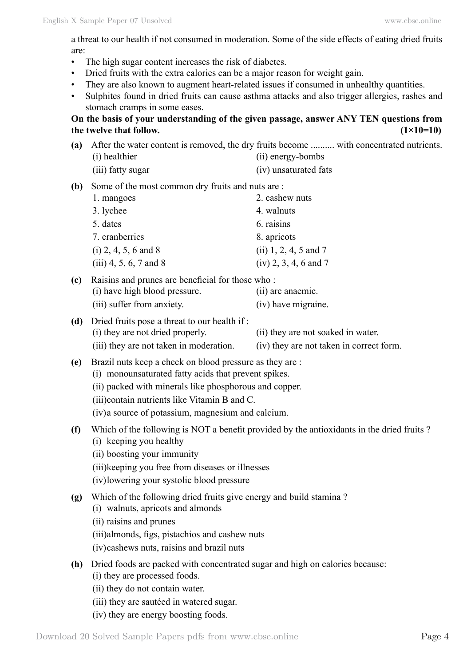a threat to our health if not consumed in moderation. Some of the side effects of eating dried fruits are:

- The high sugar content increases the risk of diabetes.
- Dried fruits with the extra calories can be a major reason for weight gain.
- They are also known to augment heart-related issues if consumed in unhealthy quantities.
- Sulphites found in dried fruits can cause asthma attacks and also trigger allergies, rashes and stomach cramps in some eases.

## **On the basis of your understanding of the given passage, answer ANY TEN questions from**  the twelve that follow.  $(1\times10=10)$

| (a) | (i) healthier                                                                                                                                                                                                                                                                    | After the water content is removed, the dry fruits become  with concentrated nutrients.<br>(ii) energy-bombs    |
|-----|----------------------------------------------------------------------------------------------------------------------------------------------------------------------------------------------------------------------------------------------------------------------------------|-----------------------------------------------------------------------------------------------------------------|
|     | (iii) fatty sugar                                                                                                                                                                                                                                                                | (iv) unsaturated fats                                                                                           |
| (b) | Some of the most common dry fruits and nuts are:<br>1. mangoes<br>3. lychee<br>5. dates<br>7. cranberries<br>$(i)$ 2, 4, 5, 6 and 8<br>$(iii)$ 4, 5, 6, 7 and 8                                                                                                                  | 2. cashew nuts<br>4. walnuts<br>6. raisins<br>8. apricots<br>$(ii) 1, 2, 4, 5$ and 7<br>$(iv)$ 2, 3, 4, 6 and 7 |
| (c) | Raisins and prunes are beneficial for those who:<br>(i) have high blood pressure.<br>(iii) suffer from anxiety.                                                                                                                                                                  | (ii) are anaemic.<br>(iv) have migraine.                                                                        |
| (d) | Dried fruits pose a threat to our health if:<br>(i) they are not dried properly.<br>(iii) they are not taken in moderation.                                                                                                                                                      | (ii) they are not soaked in water.<br>(iv) they are not taken in correct form.                                  |
| (e) | Brazil nuts keep a check on blood pressure as they are:<br>(i) monounsaturated fatty acids that prevent spikes.<br>(ii) packed with minerals like phosphorous and copper.<br>(iii) contain nutrients like Vitamin B and C.<br>(iv) a source of potassium, magnesium and calcium. |                                                                                                                 |
| (f) | (i) keeping you healthy<br>(ii) boosting your immunity<br>(iii) keeping you free from diseases or illnesses<br>(iv) lowering your systolic blood pressure                                                                                                                        | Which of the following is NOT a benefit provided by the antioxidants in the dried fruits?                       |
|     | (g) Which of the following dried fruits give energy and build stamina?<br>(i) walnuts, apricots and almonds<br>(ii) raisins and prunes<br>(iii) almonds, figs, pistachios and cashew nuts<br>(iv) cashews nuts, raisins and brazil nuts                                          |                                                                                                                 |
| (h) | Dried foods are packed with concentrated sugar and high on calories because:<br>(i) they are processed foods.<br>(ii) they do not contain water.<br>(iii) they are sautéed in watered sugar.<br>(iv) they are energy boosting foods.                                             |                                                                                                                 |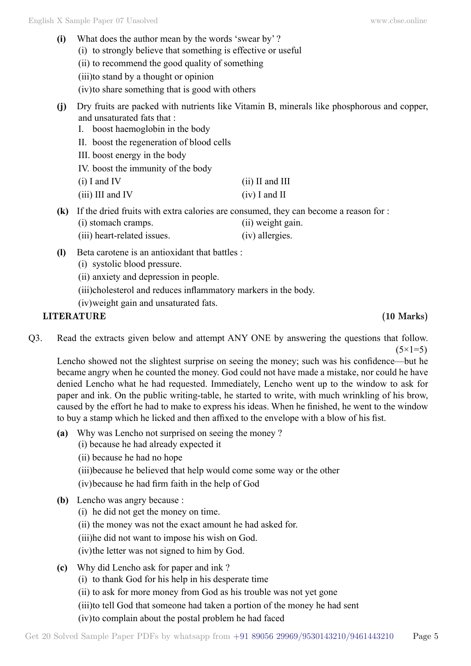| (i) | What does the author mean by the words 'swear by'?                                  |                                                                                                           |  |
|-----|-------------------------------------------------------------------------------------|-----------------------------------------------------------------------------------------------------------|--|
|     | (i) to strongly believe that something is effective or useful                       |                                                                                                           |  |
|     | (ii) to recommend the good quality of something                                     |                                                                                                           |  |
|     | (iii) to stand by a thought or opinion                                              |                                                                                                           |  |
|     | (iv) to share something that is good with others                                    |                                                                                                           |  |
| (j) | and unsaturated fats that:<br>boost haemoglobin in the body<br>$\mathbf{I}_{\cdot}$ | Dry fruits are packed with nutrients like Vitamin B, minerals like phosphorous and copper,                |  |
|     | II. boost the regeneration of blood cells                                           |                                                                                                           |  |
|     | III. boost energy in the body                                                       |                                                                                                           |  |
|     | IV. boost the immunity of the body                                                  |                                                                                                           |  |
|     | $(i)$ I and IV                                                                      | $(ii)$ II and III                                                                                         |  |
|     | $(iii)$ III and IV                                                                  | $(iv)$ I and II                                                                                           |  |
| (k) | (i) stomach cramps.                                                                 | If the dried fruits with extra calories are consumed, they can become a reason for :<br>(ii) weight gain. |  |
|     | (iii) heart-related issues.                                                         | (iv) allergies.                                                                                           |  |
| (I) | Beta carotene is an antioxidant that battles :<br>(i) systolic blood pressure.      |                                                                                                           |  |
|     | (ii) anxiety and depression in people.                                              |                                                                                                           |  |
|     | (iii)cholesterol and reduces inflammatory markers in the body.                      |                                                                                                           |  |

(iv)weight gain and unsaturated fats.

## **LITERATURE (10 Marks)**

Q3. Read the extracts given below and attempt ANY ONE by answering the questions that follow.  $(5 \times 1 = 5)$ 

Lencho showed not the slightest surprise on seeing the money; such was his confidence—but he became angry when he counted the money. God could not have made a mistake, nor could he have denied Lencho what he had requested. Immediately, Lencho went up to the window to ask for paper and ink. On the public writing-table, he started to write, with much wrinkling of his brow, caused by the effort he had to make to express his ideas. When he finished, he went to the window to buy a stamp which he licked and then affixed to the envelope with a blow of his fist.

- **(a)** Why was Lencho not surprised on seeing the money ?
	- (i) because he had already expected it
	- (ii) because he had no hope
	- (iii)because he believed that help would come some way or the other

(iv)because he had firm faith in the help of God

- **(b)** Lencho was angry because :
	- (i) he did not get the money on time.
	- (ii) the money was not the exact amount he had asked for.
	- (iii)he did not want to impose his wish on God.
	- (iv)the letter was not signed to him by God.
- **(c)** Why did Lencho ask for paper and ink ?
	- (i) to thank God for his help in his desperate time
	- (ii) to ask for more money from God as his trouble was not yet gone
	- (iii)to tell God that someone had taken a portion of the money he had sent
	- (iv)to complain about the postal problem he had faced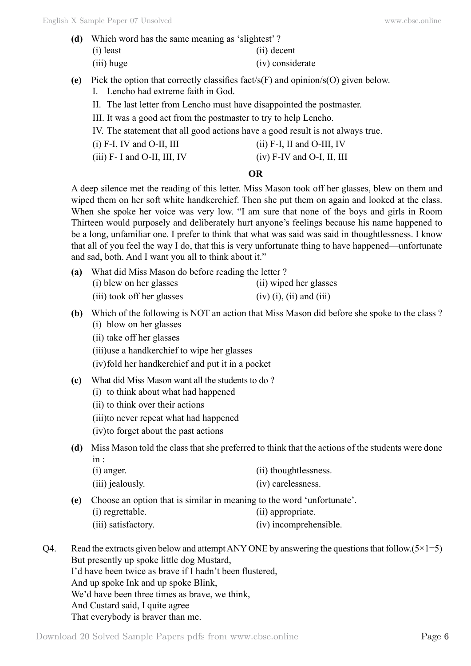- **(d)** Which word has the same meaning as 'slightest' ? (i) least (ii) decent (iii) huge (iv) considerate
- **(e)** Pick the option that correctly classifies fact/s(F) and opinion/s(O) given below.
	- I. Lencho had extreme faith in God.
	- II. The last letter from Lencho must have disappointed the postmaster.
	- III. It was a good act from the postmaster to try to help Lencho.
	- IV. The statement that all good actions have a good result is not always true.
	- $(i)$  F-I, IV and O-II, III (ii) F-I, II and O-III, IV
	- (iii) F- I and O-II, III, IV (iv) F-IV and O-I, II, III

## **O**

A deep silence met the reading of this letter. Miss Mason took off her glasses, blew on them and wiped them on her soft white handkerchief. Then she put them on again and looked at the class. When she spoke her voice was very low. "I am sure that none of the boys and girls in Room Thirteen would purposely and deliberately hurt anyone's feelings because his name happened to be a long, unfamiliar one. I prefer to think that what was said was said in thoughtlessness. I know that all of you feel the way I do, that this is very unfortunate thing to have happened—unfortunate and sad, both. And I want you all to think about it."

| (a) | What did Miss Mason do before reading the letter? |                            |  |  |
|-----|---------------------------------------------------|----------------------------|--|--|
|     | (i) blew on her glasses                           | (ii) wiped her glasses     |  |  |
|     | (iii) took off her glasses                        | $(iv)$ (i), (ii) and (iii) |  |  |

- **(b)** Which of the following is NOT an action that Miss Mason did before she spoke to the class ? (i) blow on her glasses
	- (ii) take off her glasses

(iii)use a handkerchief to wipe her glasses

(iv)fold her handkerchief and put it in a pocket

- **(c)** What did Miss Mason want all the students to do ?
	- (i) to think about what had happened
	- (ii) to think over their actions
	- (iii)to never repeat what had happened
	- (iv)to forget about the past actions
- **(d)** Miss Mason told the class that she preferred to think that the actions of the students were done  $in \cdot$

| $(i)$ anger.     | (ii) thoughtlessness. |  |
|------------------|-----------------------|--|
| (iii) jealously. | (iv) carelessness.    |  |

**(e)** Choose an option that is similar in meaning to the word 'unfortunate'.

| (i) regrettable. | (ii) appropriate. |
|------------------|-------------------|
|                  |                   |

- (iii) satisfactory. (iv) incomprehensible.
- Q4. Read the extracts given below and attempt ANY ONE by answering the questions that follow. $(5 \times 1=5)$ But presently up spoke little dog Mustard, I'd have been twice as brave if I hadn't been flustered,

And up spoke Ink and up spoke Blink, We'd have been three times as brave, we think, And Custard said, I quite agree

That everybody is braver than me.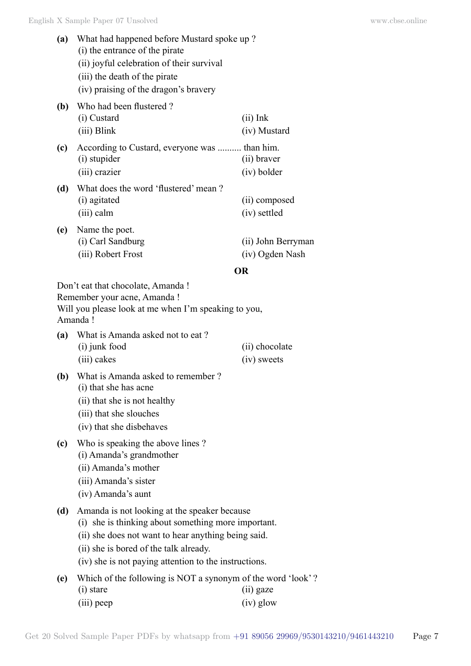| (a) | What had happened before Mustard spoke up?    |                    |  |
|-----|-----------------------------------------------|--------------------|--|
|     | (i) the entrance of the pirate                |                    |  |
|     | (ii) joyful celebration of their survival     |                    |  |
|     | (iii) the death of the pirate                 |                    |  |
|     | (iv) praising of the dragon's bravery         |                    |  |
| (b) | Who had been flustered?                       |                    |  |
|     | (i) Custard                                   | $(ii)$ Ink         |  |
|     | (iii) Blink                                   | (iv) Mustard       |  |
| (c) | According to Custard, everyone was  than him. |                    |  |
|     | (i) stupider                                  | (ii) braver        |  |
|     | (iii) crazier                                 | (iv) bolder        |  |
| (d) | What does the word 'flustered' mean?          |                    |  |
|     | (i) agitated                                  | (ii) composed      |  |
|     | (iii) calm                                    | (iv) settled       |  |
| (e) | Name the poet.                                |                    |  |
|     | (i) Carl Sandburg                             | (ii) John Berryman |  |
|     | (iii) Robert Frost                            | (iv) Ogden Nash    |  |
|     |                                               | OR                 |  |
|     | Don't eat that chocolate, Amanda!             |                    |  |

Remember your acne, Amanda !

Will you please look at me when I'm speaking to you, Amanda !

| (a) | What is Amanda asked not to eat? |                |  |
|-----|----------------------------------|----------------|--|
|     | (i) junk food                    | (ii) chocolate |  |
|     | (iii) cakes                      | (iv) sweets    |  |

- **(b)** What is Amanda asked to remember ? (i) that she has acne
	- (ii) that she is not healthy
	- (iii) that she slouches
	- (iv) that she disbehaves
- **(c)** Who is speaking the above lines ?
	- (i) Amanda's grandmother
	- (ii) Amanda's mother
	- (iii) Amanda's sister
	- (iv) Amanda's aunt

## **(d)** Amanda is not looking at the speaker because

- (i) she is thinking about something more important.
- (ii) she does not want to hear anything being said.
- (ii) she is bored of the talk already.
- (iv) she is not paying attention to the instructions.
- **(e)** Which of the following is NOT a synonym of the word 'look' ? (i) stare (ii) gaze (iii) peep (iv) glow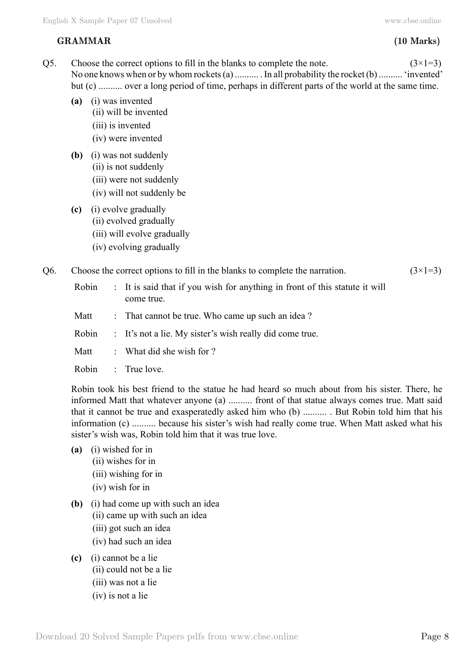## **GRAMMAR (10 Marks)**

Q5. Choose the correct options to fill in the blanks to complete the note.  $(3\times1=3)$ No one knows when or by whom rockets (a) .......... . In all probability the rocket (b) .......... 'invented' but (c) .......... over a long period of time, perhaps in different parts of the world at the same time.

- **(a)** (i) was invented
	- (ii) will be invented
	- (iii) is invented
	- (iv) were invented
- **(b)** (i) was not suddenly
	- (ii) is not suddenly
	- (iii) were not suddenly
	- (iv) will not suddenly be
- **(c)** (i) evolve gradually
	- (ii) evolved gradually
	- (iii) will evolve gradually
	- (iv) evolving gradually

## Q6. Choose the correct options to fill in the blanks to complete the narration.  $(3\times1=3)$

- Robin : It is said that if you wish for anything in front of this statute it will come true.
- Matt : That cannot be true. Who came up such an idea?
- Robin : It's not a lie. My sister's wish really did come true.
- Matt : What did she wish for ?
- Robin : True love.

Robin took his best friend to the statue he had heard so much about from his sister. There, he informed Matt that whatever anyone (a) .......... front of that statue always comes true. Matt said that it cannot be true and exasperatedly asked him who (b) .......... . But Robin told him that his information (c) .......... because his sister's wish had really come true. When Matt asked what his sister's wish was, Robin told him that it was true love.

- **(a)** (i) wished for in
	- (ii) wishes for in
	- (iii) wishing for in
	- (iv) wish for in
- **(b)** (i) had come up with such an idea
	- (ii) came up with such an idea
	- (iii) got such an idea
	- (iv) had such an idea
- **(c)** (i) cannot be a lie
	- (ii) could not be a lie
	- (iii) was not a lie
	- (iv) is not a lie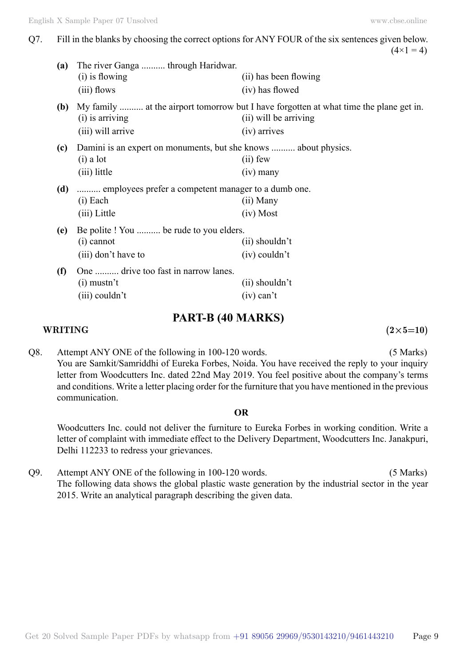Q7. Fill in the blanks by choosing the correct options for ANY FOUR of the six sentences given below.  $(4 \times 1 = 4)$ 

| (a) | The river Ganga  through Haridwar.<br>(i) is flowing<br>(iii) flows                            | (ii) has been flowing<br>(iv) has flowed                                                                                        |
|-----|------------------------------------------------------------------------------------------------|---------------------------------------------------------------------------------------------------------------------------------|
| (b) | $(i)$ is arriving<br>(iii) will arrive                                                         | My family  at the airport tomorrow but I have forgotten at what time the plane get in.<br>(ii) will be arriving<br>(iv) arrives |
| (c) | Damini is an expert on monuments, but she knows  about physics.<br>$(i)$ a lot<br>(iii) little | $(ii)$ few<br>$(iv)$ many                                                                                                       |
| (d) | employees prefer a competent manager to a dumb one.<br>$(i)$ Each<br>(iii) Little              | (ii) Many<br>$(iv)$ Most                                                                                                        |
| (e) | Be polite! You  be rude to you elders.<br>(i) cannot<br>(iii) don't have to                    | $(ii)$ shouldn't<br>$(iv)$ couldn't                                                                                             |
| (f) | One  drive too fast in narrow lanes.<br>$(i)$ mustn't<br>$(iii)$ couldn't                      | $(ii)$ shouldn't<br>$(iv)$ can't                                                                                                |

## **PART-B (40 Marks)**

### **WRITING**  $(2 \times 5=10)$

Q8. Attempt ANY ONE of the following in 100-120 words. (5 Marks) You are Samkit/Samriddhi of Eureka Forbes, Noida. You have received the reply to your inquiry letter from Woodcutters Inc. dated 22nd May 2019. You feel positive about the company's terms and conditions. Write a letter placing order for the furniture that you have mentioned in the previous communication.

#### **O**

Woodcutters Inc. could not deliver the furniture to Eureka Forbes in working condition. Write a letter of complaint with immediate effect to the Delivery Department, Woodcutters Inc. Janakpuri, Delhi 112233 to redress your grievances.

Q9. Attempt ANY ONE of the following in 100-120 words. (5 Marks) The following data shows the global plastic waste generation by the industrial sector in the year 2015. Write an analytical paragraph describing the given data.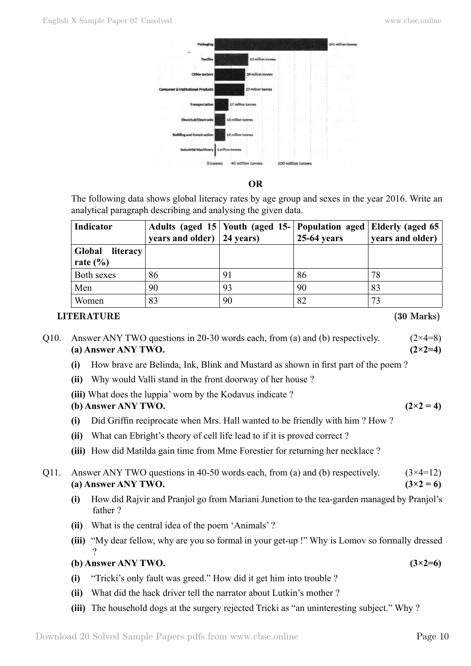

 **O**

The following data shows global literacy rates by age group and sexes in the year 2016. Write an analytical paragraph describing and analysing the given data.

| Indicator          |                                       | Adults (aged 15 Youth (aged 15- Population aged Elderly (aged 65) |               |                  |
|--------------------|---------------------------------------|-------------------------------------------------------------------|---------------|------------------|
|                    | years and older) $ 24 \text{ years} $ |                                                                   | $25-64$ years | years and older) |
| Global<br>literacy |                                       |                                                                   |               |                  |
| rate $(\% )$       |                                       |                                                                   |               |                  |
| Both sexes         | 86                                    | 91                                                                | 86            | 78               |
| Men                | 90                                    | 93                                                                | 90            | 83               |
| Women              | 83                                    | 90                                                                | 82            | 73               |

## **LITERATURE (30 Marks)**

Q10. Answer ANY TWO questions in 20-30 words each, from (a) and (b) respectively.  $(2\times4=8)$ **(a) Answer ANY TWO. (2×2=4)**

- **(i)** How brave are Belinda, Ink, Blink and Mustard as shown in first part of the poem ?
- **(ii)** Why would Valli stand in the front doorway of her house ?
- **(iii)** What does the luppia' worn by the Kodavus indicate ?

**(b) Answer ANY TWO.**  $(2 \times 2 = 4)$ 

- **(i)** Did Griffin reciprocate when Mrs. Hall wanted to be friendly with him ? How ?
- **(ii)** What can Ebright's theory of cell life lead to if it is proved correct ?
- **(iii)** How did Matilda gain time from Mme Forestier for returning her necklace ?
- Q11. Answer ANY TWO questions in 40-50 words each, from (a) and (b) respectively.  $(3\times4=12)$ **(a)** Answer ANY TWO.  $(3 \times 2 = 6)$ 
	- **(i)** How did Rajvir and Pranjol go from Mariani Junction to the tea-garden managed by Pranjol's father ?
	- **(ii)** What is the central idea of the poem 'Animals' ?
	- **(iii)** "My dear fellow, why are you so formal in your get-up !" Why is Lomov so formally dressed ?

## **(b) Answer ANY TWO. (3×2=6)**

- **(i)** "Tricki's only fault was greed." How did it get him into trouble ?
- **(ii)** What did the hack driver tell the narrator about Lutkin's mother ?
- **(iii)** The household dogs at the surgery rejected Tricki as "an uninteresting subject." Why ?